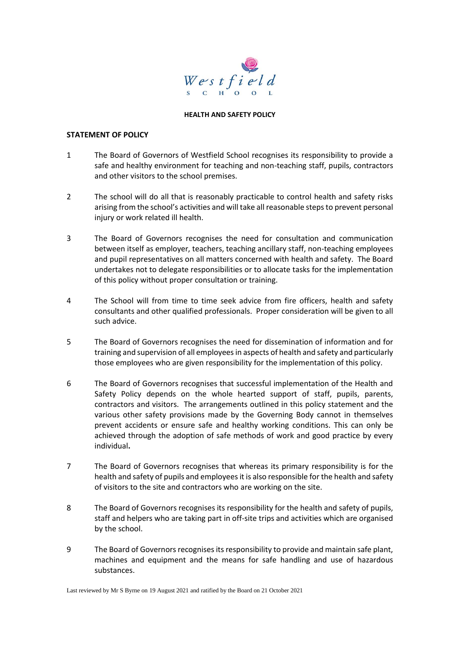

#### **HEALTH AND SAFETY POLICY**

#### **STATEMENT OF POLICY**

- 1 The Board of Governors of Westfield School recognises its responsibility to provide a safe and healthy environment for teaching and non-teaching staff, pupils, contractors and other visitors to the school premises.
- 2 The school will do all that is reasonably practicable to control health and safety risks arising from the school's activities and will take all reasonable steps to prevent personal injury or work related ill health.
- 3 The Board of Governors recognises the need for consultation and communication between itself as employer, teachers, teaching ancillary staff, non-teaching employees and pupil representatives on all matters concerned with health and safety. The Board undertakes not to delegate responsibilities or to allocate tasks for the implementation of this policy without proper consultation or training.
- 4 The School will from time to time seek advice from fire officers, health and safety consultants and other qualified professionals. Proper consideration will be given to all such advice.
- 5 The Board of Governors recognises the need for dissemination of information and for training and supervision of all employees in aspects of health and safety and particularly those employees who are given responsibility for the implementation of this policy.
- 6 The Board of Governors recognises that successful implementation of the Health and Safety Policy depends on the whole hearted support of staff, pupils, parents, contractors and visitors. The arrangements outlined in this policy statement and the various other safety provisions made by the Governing Body cannot in themselves prevent accidents or ensure safe and healthy working conditions. This can only be achieved through the adoption of safe methods of work and good practice by every individual**.**
- 7 The Board of Governors recognises that whereas its primary responsibility is for the health and safety of pupils and employees it is also responsible for the health and safety of visitors to the site and contractors who are working on the site.
- 8 The Board of Governors recognises its responsibility for the health and safety of pupils, staff and helpers who are taking part in off-site trips and activities which are organised by the school.
- 9 The Board of Governors recognises its responsibility to provide and maintain safe plant, machines and equipment and the means for safe handling and use of hazardous substances.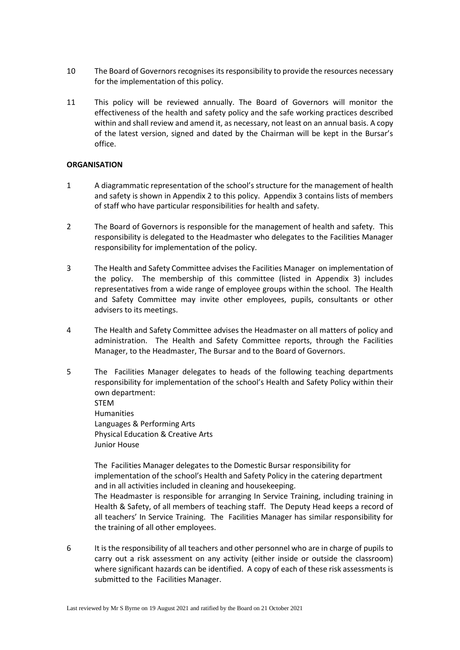- 10 The Board of Governors recognises its responsibility to provide the resources necessary for the implementation of this policy.
- 11 This policy will be reviewed annually. The Board of Governors will monitor the effectiveness of the health and safety policy and the safe working practices described within and shall review and amend it, as necessary, not least on an annual basis. A copy of the latest version, signed and dated by the Chairman will be kept in the Bursar's office.

### **ORGANISATION**

- 1 A diagrammatic representation of the school's structure for the management of health and safety is shown in Appendix 2 to this policy. Appendix 3 contains lists of members of staff who have particular responsibilities for health and safety.
- 2 The Board of Governors is responsible for the management of health and safety. This responsibility is delegated to the Headmaster who delegates to the Facilities Manager responsibility for implementation of the policy.
- 3 The Health and Safety Committee advises the Facilities Manager on implementation of the policy. The membership of this committee (listed in Appendix 3) includes representatives from a wide range of employee groups within the school. The Health and Safety Committee may invite other employees, pupils, consultants or other advisers to its meetings.
- 4 The Health and Safety Committee advises the Headmaster on all matters of policy and administration. The Health and Safety Committee reports, through the Facilities Manager, to the Headmaster, The Bursar and to the Board of Governors.
- 5 The Facilities Manager delegates to heads of the following teaching departments responsibility for implementation of the school's Health and Safety Policy within their own department:

STEM Humanities Languages & Performing Arts Physical Education & Creative Arts Junior House

The Facilities Manager delegates to the Domestic Bursar responsibility for implementation of the school's Health and Safety Policy in the catering department and in all activities included in cleaning and housekeeping. The Headmaster is responsible for arranging In Service Training, including training in Health & Safety, of all members of teaching staff. The Deputy Head keeps a record of all teachers' In Service Training. The Facilities Manager has similar responsibility for the training of all other employees.

6 It is the responsibility of all teachers and other personnel who are in charge of pupils to carry out a risk assessment on any activity (either inside or outside the classroom) where significant hazards can be identified. A copy of each of these risk assessments is submitted to the Facilities Manager.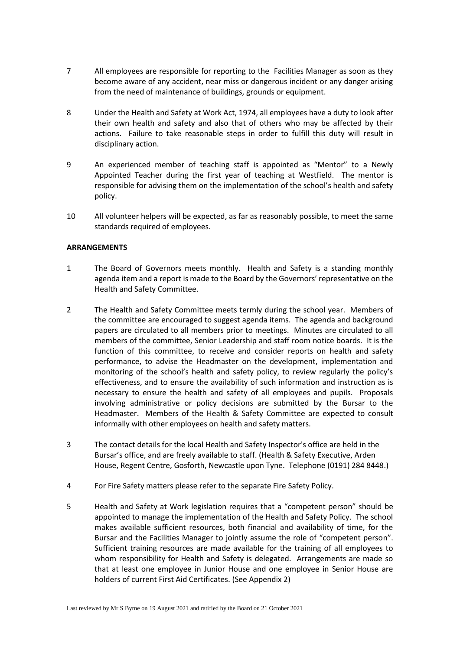- 7 All employees are responsible for reporting to the Facilities Manager as soon as they become aware of any accident, near miss or dangerous incident or any danger arising from the need of maintenance of buildings, grounds or equipment.
- 8 Under the Health and Safety at Work Act, 1974, all employees have a duty to look after their own health and safety and also that of others who may be affected by their actions. Failure to take reasonable steps in order to fulfill this duty will result in disciplinary action.
- 9 An experienced member of teaching staff is appointed as "Mentor" to a Newly Appointed Teacher during the first year of teaching at Westfield. The mentor is responsible for advising them on the implementation of the school's health and safety policy.
- 10 All volunteer helpers will be expected, as far as reasonably possible, to meet the same standards required of employees.

#### **ARRANGEMENTS**

- 1 The Board of Governors meets monthly. Health and Safety is a standing monthly agenda item and a report is made to the Board by the Governors' representative on the Health and Safety Committee.
- 2 The Health and Safety Committee meets termly during the school year. Members of the committee are encouraged to suggest agenda items. The agenda and background papers are circulated to all members prior to meetings. Minutes are circulated to all members of the committee, Senior Leadership and staff room notice boards. It is the function of this committee, to receive and consider reports on health and safety performance, to advise the Headmaster on the development, implementation and monitoring of the school's health and safety policy, to review regularly the policy's effectiveness, and to ensure the availability of such information and instruction as is necessary to ensure the health and safety of all employees and pupils. Proposals involving administrative or policy decisions are submitted by the Bursar to the Headmaster. Members of the Health & Safety Committee are expected to consult informally with other employees on health and safety matters.
- 3 The contact details for the local Health and Safety Inspector's office are held in the Bursar's office, and are freely available to staff. (Health & Safety Executive, Arden House, Regent Centre, Gosforth, Newcastle upon Tyne. Telephone (0191) 284 8448.)
- 4 For Fire Safety matters please refer to the separate Fire Safety Policy.
- 5 Health and Safety at Work legislation requires that a "competent person" should be appointed to manage the implementation of the Health and Safety Policy. The school makes available sufficient resources, both financial and availability of time, for the Bursar and the Facilities Manager to jointly assume the role of "competent person". Sufficient training resources are made available for the training of all employees to whom responsibility for Health and Safety is delegated. Arrangements are made so that at least one employee in Junior House and one employee in Senior House are holders of current First Aid Certificates. (See Appendix 2)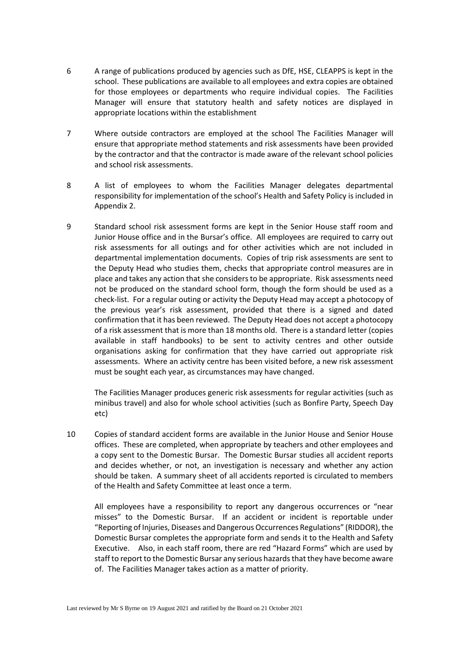- 6 A range of publications produced by agencies such as DfE, HSE, CLEAPPS is kept in the school. These publications are available to all employees and extra copies are obtained for those employees or departments who require individual copies. The Facilities Manager will ensure that statutory health and safety notices are displayed in appropriate locations within the establishment
- 7 Where outside contractors are employed at the school The Facilities Manager will ensure that appropriate method statements and risk assessments have been provided by the contractor and that the contractor is made aware of the relevant school policies and school risk assessments.
- 8 A list of employees to whom the Facilities Manager delegates departmental responsibility for implementation of the school's Health and Safety Policy is included in Appendix 2.
- 9 Standard school risk assessment forms are kept in the Senior House staff room and Junior House office and in the Bursar's office. All employees are required to carry out risk assessments for all outings and for other activities which are not included in departmental implementation documents. Copies of trip risk assessments are sent to the Deputy Head who studies them, checks that appropriate control measures are in place and takes any action that she considers to be appropriate. Risk assessments need not be produced on the standard school form, though the form should be used as a check-list. For a regular outing or activity the Deputy Head may accept a photocopy of the previous year's risk assessment, provided that there is a signed and dated confirmation that it has been reviewed. The Deputy Head does not accept a photocopy of a risk assessment that is more than 18 months old. There is a standard letter (copies available in staff handbooks) to be sent to activity centres and other outside organisations asking for confirmation that they have carried out appropriate risk assessments. Where an activity centre has been visited before, a new risk assessment must be sought each year, as circumstances may have changed.

The Facilities Manager produces generic risk assessments for regular activities (such as minibus travel) and also for whole school activities (such as Bonfire Party, Speech Day etc)

10 Copies of standard accident forms are available in the Junior House and Senior House offices. These are completed, when appropriate by teachers and other employees and a copy sent to the Domestic Bursar. The Domestic Bursar studies all accident reports and decides whether, or not, an investigation is necessary and whether any action should be taken. A summary sheet of all accidents reported is circulated to members of the Health and Safety Committee at least once a term.

All employees have a responsibility to report any dangerous occurrences or "near misses" to the Domestic Bursar. If an accident or incident is reportable under "Reporting of Injuries, Diseases and Dangerous Occurrences Regulations" (RIDDOR), the Domestic Bursar completes the appropriate form and sends it to the Health and Safety Executive. Also, in each staff room, there are red "Hazard Forms" which are used by staff to report to the Domestic Bursar any serious hazards that they have become aware of. The Facilities Manager takes action as a matter of priority.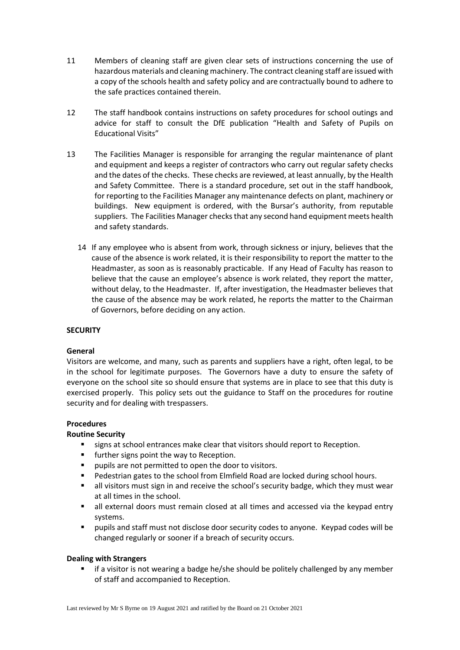- 11 Members of cleaning staff are given clear sets of instructions concerning the use of hazardous materials and cleaning machinery. The contract cleaning staff are issued with a copy of the schools health and safety policy and are contractually bound to adhere to the safe practices contained therein.
- 12 The staff handbook contains instructions on safety procedures for school outings and advice for staff to consult the DfE publication "Health and Safety of Pupils on Educational Visits"
- 13 The Facilities Manager is responsible for arranging the regular maintenance of plant and equipment and keeps a register of contractors who carry out regular safety checks and the dates of the checks. These checks are reviewed, at least annually, by the Health and Safety Committee. There is a standard procedure, set out in the staff handbook, for reporting to the Facilities Manager any maintenance defects on plant, machinery or buildings. New equipment is ordered, with the Bursar's authority, from reputable suppliers. The Facilities Manager checks that any second hand equipment meets health and safety standards.
	- 14 If any employee who is absent from work, through sickness or injury, believes that the cause of the absence is work related, it is their responsibility to report the matter to the Headmaster, as soon as is reasonably practicable. If any Head of Faculty has reason to believe that the cause an employee's absence is work related, they report the matter, without delay, to the Headmaster. If, after investigation, the Headmaster believes that the cause of the absence may be work related, he reports the matter to the Chairman of Governors, before deciding on any action.

# **SECURITY**

# **General**

Visitors are welcome, and many, such as parents and suppliers have a right, often legal, to be in the school for legitimate purposes. The Governors have a duty to ensure the safety of everyone on the school site so should ensure that systems are in place to see that this duty is exercised properly. This policy sets out the guidance to Staff on the procedures for routine security and for dealing with trespassers.

### **Procedures**

### **Routine Security**

- signs at school entrances make clear that visitors should report to Reception.
- **■** further signs point the way to Reception.
- pupils are not permitted to open the door to visitors.
- Pedestrian gates to the school from Elmfield Road are locked during school hours.
- **■** all visitors must sign in and receive the school's security badge, which they must wear at all times in the school.
- all external doors must remain closed at all times and accessed via the keypad entry systems.
- pupils and staff must not disclose door security codes to anyone. Keypad codes will be changed regularly or sooner if a breach of security occurs.

### **Dealing with Strangers**

■ if a visitor is not wearing a badge he/she should be politely challenged by any member of staff and accompanied to Reception.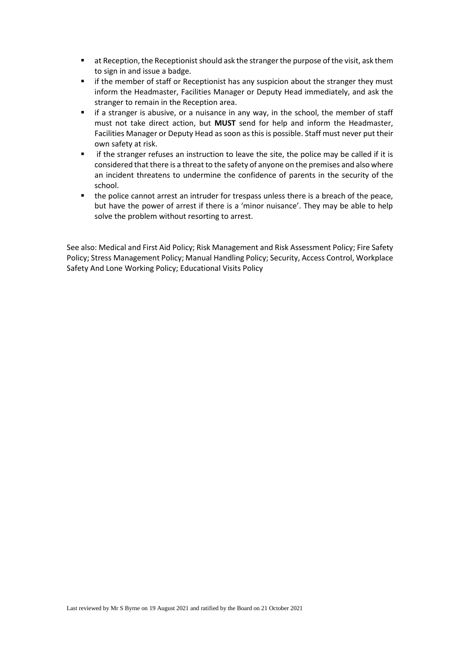- **■** at Reception, the Receptionist should ask the stranger the purpose of the visit, ask them to sign in and issue a badge.
- if the member of staff or Receptionist has any suspicion about the stranger they must inform the Headmaster, Facilities Manager or Deputy Head immediately, and ask the stranger to remain in the Reception area.
- if a stranger is abusive, or a nuisance in any way, in the school, the member of staff must not take direct action, but **MUST** send for help and inform the Headmaster, Facilities Manager or Deputy Head as soon as this is possible. Staff must never put their own safety at risk.
- if the stranger refuses an instruction to leave the site, the police may be called if it is considered that there is a threat to the safety of anyone on the premises and also where an incident threatens to undermine the confidence of parents in the security of the school.
- the police cannot arrest an intruder for trespass unless there is a breach of the peace, but have the power of arrest if there is a 'minor nuisance'. They may be able to help solve the problem without resorting to arrest.

See also: Medical and First Aid Policy; Risk Management and Risk Assessment Policy; Fire Safety Policy; Stress Management Policy; Manual Handling Policy; Security, Access Control, Workplace Safety And Lone Working Policy; Educational Visits Policy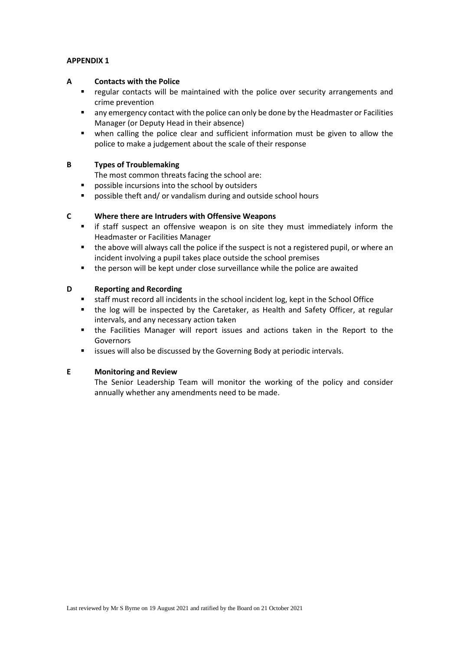### **APPENDIX 1**

#### **A Contacts with the Police**

- regular contacts will be maintained with the police over security arrangements and crime prevention
- any emergency contact with the police can only be done by the Headmaster or Facilities Manager (or Deputy Head in their absence)
- when calling the police clear and sufficient information must be given to allow the police to make a judgement about the scale of their response

### **B Types of Troublemaking**

The most common threats facing the school are:

- possible incursions into the school by outsiders
- possible theft and/ or vandalism during and outside school hours

#### **C Where there are Intruders with Offensive Weapons**

- if staff suspect an offensive weapon is on site they must immediately inform the Headmaster or Facilities Manager
- the above will always call the police if the suspect is not a registered pupil, or where an incident involving a pupil takes place outside the school premises
- the person will be kept under close surveillance while the police are awaited

#### **D Reporting and Recording**

- staff must record all incidents in the school incident log, kept in the School Office
- the log will be inspected by the Caretaker, as Health and Safety Officer, at regular intervals, and any necessary action taken
- the Facilities Manager will report issues and actions taken in the Report to the Governors
- issues will also be discussed by the Governing Body at periodic intervals.

#### **E Monitoring and Review**

The Senior Leadership Team will monitor the working of the policy and consider annually whether any amendments need to be made.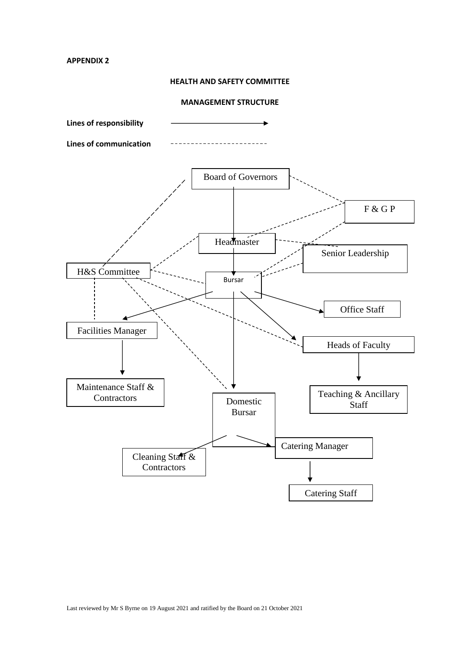**APPENDIX 2**

## **HEALTH AND SAFETY COMMITTEE**